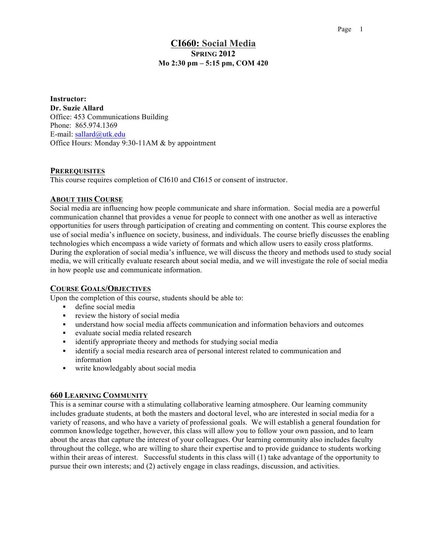## **CI660: Social Media SPRING 2012 Mo 2:30 pm – 5:15 pm, COM 420**

**Instructor: Dr. Suzie Allard** Office: 453 Communications Building Phone: 865.974.1369 E-mail: sallard@utk.edu Office Hours: Monday 9:30-11AM & by appointment

### **PREREQUISITES**

This course requires completion of CI610 and CI615 or consent of instructor.

### **ABOUT THIS COURSE**

Social media are influencing how people communicate and share information. Social media are a powerful communication channel that provides a venue for people to connect with one another as well as interactive opportunities for users through participation of creating and commenting on content. This course explores the use of social media's influence on society, business, and individuals. The course briefly discusses the enabling technologies which encompass a wide variety of formats and which allow users to easily cross platforms. During the exploration of social media's influence, we will discuss the theory and methods used to study social media, we will critically evaluate research about social media, and we will investigate the role of social media in how people use and communicate information.

### **COURSE GOALS/OBJECTIVES**

Upon the completion of this course, students should be able to:

- define social media
- $\blacksquare$  review the history of social media
- understand how social media affects communication and information behaviors and outcomes
- evaluate social media related research
- **identify appropriate theory and methods for studying social media**
- identify a social media research area of personal interest related to communication and information
- write knowledgably about social media

### **660 LEARNING COMMUNITY**

This is a seminar course with a stimulating collaborative learning atmosphere. Our learning community includes graduate students, at both the masters and doctoral level, who are interested in social media for a variety of reasons, and who have a variety of professional goals. We will establish a general foundation for common knowledge together, however, this class will allow you to follow your own passion, and to learn about the areas that capture the interest of your colleagues. Our learning community also includes faculty throughout the college, who are willing to share their expertise and to provide guidance to students working within their areas of interest. Successful students in this class will (1) take advantage of the opportunity to pursue their own interests; and (2) actively engage in class readings, discussion, and activities.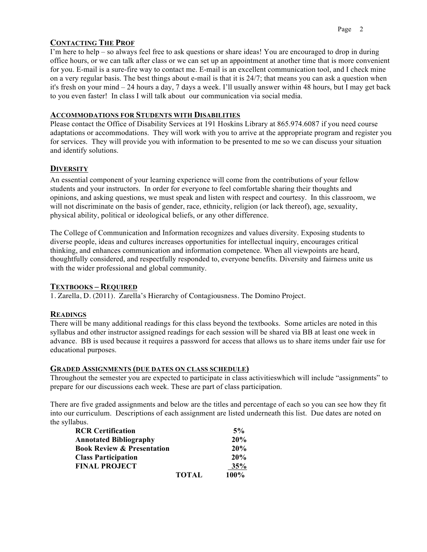# **CONTACTING THE PROF**

I'm here to help – so always feel free to ask questions or share ideas! You are encouraged to drop in during office hours, or we can talk after class or we can set up an appointment at another time that is more convenient for you. E-mail is a sure-fire way to contact me. E-mail is an excellent communication tool, and I check mine on a very regular basis. The best things about e-mail is that it is 24/7; that means you can ask a question when it's fresh on your mind – 24 hours a day, 7 days a week. I'll usually answer within 48 hours, but I may get back to you even faster! In class I will talk about our communication via social media.

## **ACCOMMODATIONS FOR STUDENTS WITH DISABILITIES**

Please contact the Office of Disability Services at 191 Hoskins Library at 865.974.6087 if you need course adaptations or accommodations. They will work with you to arrive at the appropriate program and register you for services. They will provide you with information to be presented to me so we can discuss your situation and identify solutions.

# **DIVERSITY**

An essential component of your learning experience will come from the contributions of your fellow students and your instructors. In order for everyone to feel comfortable sharing their thoughts and opinions, and asking questions, we must speak and listen with respect and courtesy. In this classroom, we will not discriminate on the basis of gender, race, ethnicity, religion (or lack thereof), age, sexuality, physical ability, political or ideological beliefs, or any other difference.

The College of Communication and Information recognizes and values diversity. Exposing students to diverse people, ideas and cultures increases opportunities for intellectual inquiry, encourages critical thinking, and enhances communication and information competence. When all viewpoints are heard, thoughtfully considered, and respectfully responded to, everyone benefits. Diversity and fairness unite us with the wider professional and global community.

# **TEXTBOOKS – REQUIRED**

1. Zarella, D. (2011). Zarella's Hierarchy of Contagiousness. The Domino Project.

# **READINGS**

There will be many additional readings for this class beyond the textbooks. Some articles are noted in this syllabus and other instructor assigned readings for each session will be shared via BB at least one week in advance. BB is used because it requires a password for access that allows us to share items under fair use for educational purposes.

# **GRADED ASSIGNMENTS (DUE DATES ON CLASS SCHEDULE)**

Throughout the semester you are expected to participate in class activitieswhich will include "assignments" to prepare for our discussions each week. These are part of class participation.

There are five graded assignments and below are the titles and percentage of each so you can see how they fit into our curriculum. Descriptions of each assignment are listed underneath this list. Due dates are noted on the syllabus.

| <b>RCR Certification</b>              |              | 5%   |
|---------------------------------------|--------------|------|
| <b>Annotated Bibliography</b>         |              | 20%  |
| <b>Book Review &amp; Presentation</b> |              | 20%  |
| <b>Class Participation</b>            |              | 20%  |
| <b>FINAL PROJECT</b>                  |              | 35%  |
|                                       | <b>TOTAL</b> | 100% |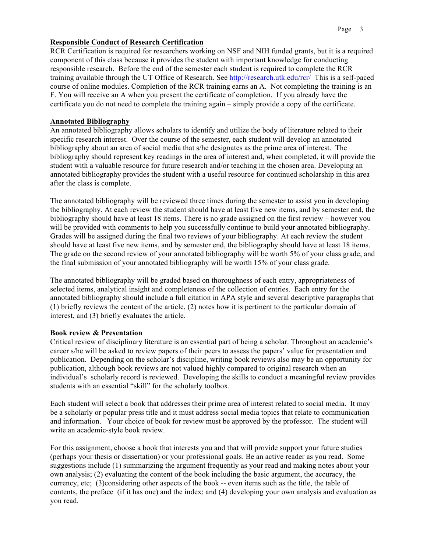## **Responsible Conduct of Research Certification**

RCR Certification is required for researchers working on NSF and NIH funded grants, but it is a required component of this class because it provides the student with important knowledge for conducting responsible research. Before the end of the semester each student is required to complete the RCR training available through the UT Office of Research. See http://research.utk.edu/rcr/ This is a self-paced course of online modules. Completion of the RCR training earns an A. Not completing the training is an F. You will receive an A when you present the certificate of completion. If you already have the certificate you do not need to complete the training again – simply provide a copy of the certificate.

## **Annotated Bibliography**

An annotated bibliography allows scholars to identify and utilize the body of literature related to their specific research interest. Over the course of the semester, each student will develop an annotated bibliography about an area of social media that s/he designates as the prime area of interest. The bibliography should represent key readings in the area of interest and, when completed, it will provide the student with a valuable resource for future research and/or teaching in the chosen area. Developing an annotated bibliography provides the student with a useful resource for continued scholarship in this area after the class is complete.

The annotated bibliography will be reviewed three times during the semester to assist you in developing the bibliography. At each review the student should have at least five new items, and by semester end, the bibliography should have at least 18 items. There is no grade assigned on the first review – however you will be provided with comments to help you successfully continue to build your annotated bibliography. Grades will be assigned during the final two reviews of your bibliography. At each review the student should have at least five new items, and by semester end, the bibliography should have at least 18 items. The grade on the second review of your annotated bibliography will be worth 5% of your class grade, and the final submission of your annotated bibliography will be worth 15% of your class grade.

The annotated bibliography will be graded based on thoroughness of each entry, appropriateness of selected items, analytical insight and completeness of the collection of entries. Each entry for the annotated bibliography should include a full citation in APA style and several descriptive paragraphs that (1) briefly reviews the content of the article, (2) notes how it is pertinent to the particular domain of interest, and (3) briefly evaluates the article.

### **Book review & Presentation**

Critical review of disciplinary literature is an essential part of being a scholar. Throughout an academic's career s/he will be asked to review papers of their peers to assess the papers' value for presentation and publication. Depending on the scholar's discipline, writing book reviews also may be an opportunity for publication, although book reviews are not valued highly compared to original research when an individual's scholarly record is reviewed. Developing the skills to conduct a meaningful review provides students with an essential "skill" for the scholarly toolbox.

Each student will select a book that addresses their prime area of interest related to social media. It may be a scholarly or popular press title and it must address social media topics that relate to communication and information. Your choice of book for review must be approved by the professor. The student will write an academic-style book review.

For this assignment, choose a book that interests you and that will provide support your future studies (perhaps your thesis or dissertation) or your professional goals. Be an active reader as you read. Some suggestions include (1) summarizing the argument frequently as your read and making notes about your own analysis; (2) evaluating the content of the book including the basic argument, the accuracy, the currency, etc; (3)considering other aspects of the book -- even items such as the title, the table of contents, the preface (if it has one) and the index; and (4) developing your own analysis and evaluation as you read.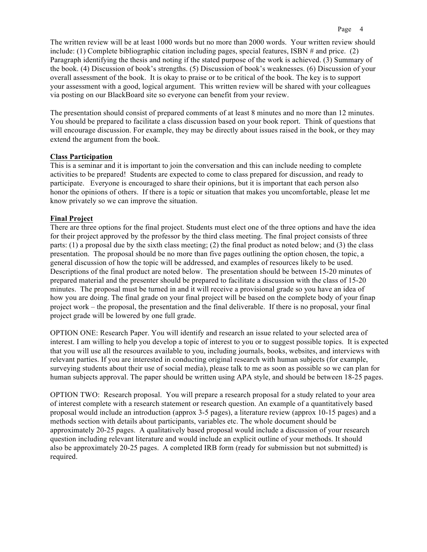The written review will be at least 1000 words but no more than 2000 words. Your written review should include: (1) Complete bibliographic citation including pages, special features, ISBN # and price. (2) Paragraph identifying the thesis and noting if the stated purpose of the work is achieved. (3) Summary of the book. (4) Discussion of book's strengths. (5) Discussion of book's weaknesses. (6) Discussion of your overall assessment of the book. It is okay to praise or to be critical of the book. The key is to support your assessment with a good, logical argument. This written review will be shared with your colleagues via posting on our BlackBoard site so everyone can benefit from your review.

The presentation should consist of prepared comments of at least 8 minutes and no more than 12 minutes. You should be prepared to facilitate a class discussion based on your book report. Think of questions that will encourage discussion. For example, they may be directly about issues raised in the book, or they may extend the argument from the book.

### **Class Participation**

This is a seminar and it is important to join the conversation and this can include needing to complete activities to be prepared! Students are expected to come to class prepared for discussion, and ready to participate. Everyone is encouraged to share their opinions, but it is important that each person also honor the opinions of others. If there is a topic or situation that makes you uncomfortable, please let me know privately so we can improve the situation.

### **Final Project**

There are three options for the final project. Students must elect one of the three options and have the idea for their project approved by the professor by the third class meeting. The final project consists of three parts: (1) a proposal due by the sixth class meeting; (2) the final product as noted below; and (3) the class presentation. The proposal should be no more than five pages outlining the option chosen, the topic, a general discussion of how the topic will be addressed, and examples of resources likely to be used. Descriptions of the final product are noted below. The presentation should be between 15-20 minutes of prepared material and the presenter should be prepared to facilitate a discussion with the class of 15-20 minutes. The proposal must be turned in and it will receive a provisional grade so you have an idea of how you are doing. The final grade on your final project will be based on the complete body of your finap project work – the proposal, the presentation and the final deliverable. If there is no proposal, your final project grade will be lowered by one full grade.

OPTION ONE: Research Paper. You will identify and research an issue related to your selected area of interest. I am willing to help you develop a topic of interest to you or to suggest possible topics. It is expected that you will use all the resources available to you, including journals, books, websites, and interviews with relevant parties. If you are interested in conducting original research with human subjects (for example, surveying students about their use of social media), please talk to me as soon as possible so we can plan for human subjects approval. The paper should be written using APA style, and should be between 18-25 pages.

OPTION TWO: Research proposal. You will prepare a research proposal for a study related to your area of interest complete with a research statement or research question. An example of a quantitatively based proposal would include an introduction (approx 3-5 pages), a literature review (approx 10-15 pages) and a methods section with details about participants, variables etc. The whole document should be approximately 20-25 pages. A qualitatively based proposal would include a discussion of your research question including relevant literature and would include an explicit outline of your methods. It should also be approximately 20-25 pages. A completed IRB form (ready for submission but not submitted) is required.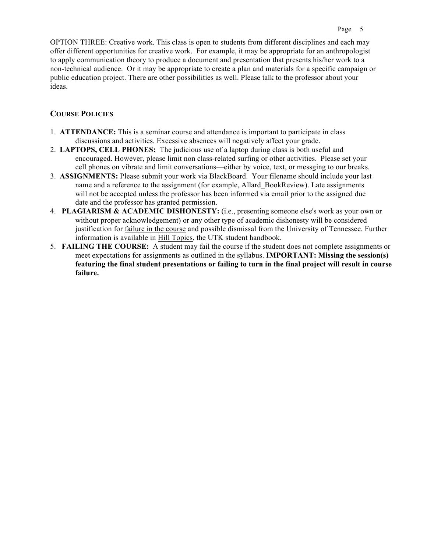OPTION THREE: Creative work. This class is open to students from different disciplines and each may offer different opportunities for creative work. For example, it may be appropriate for an anthropologist to apply communication theory to produce a document and presentation that presents his/her work to a non-technical audience. Or it may be appropriate to create a plan and materials for a specific campaign or public education project. There are other possibilities as well. Please talk to the professor about your ideas.

## **COURSE POLICIES**

- 1. **ATTENDANCE:** This is a seminar course and attendance is important to participate in class discussions and activities. Excessive absences will negatively affect your grade.
- 2. **LAPTOPS, CELL PHONES:** The judicious use of a laptop during class is both useful and encouraged. However, please limit non class-related surfing or other activities. Please set your cell phones on vibrate and limit conversations—either by voice, text, or messging to our breaks.
- 3. **ASSIGNMENTS:** Please submit your work via BlackBoard. Your filename should include your last name and a reference to the assignment (for example, Allard BookReview). Late assignments will not be accepted unless the professor has been informed via email prior to the assigned due date and the professor has granted permission.
- 4. **PLAGIARISM & ACADEMIC DISHONESTY:** (i.e., presenting someone else's work as your own or without proper acknowledgement) or any other type of academic dishonesty will be considered justification for failure in the course and possible dismissal from the University of Tennessee. Further information is available in Hill Topics, the UTK student handbook.
- 5. **FAILING THE COURSE:** A student may fail the course if the student does not complete assignments or meet expectations for assignments as outlined in the syllabus. **IMPORTANT: Missing the session(s) featuring the final student presentations or failing to turn in the final project will result in course failure.**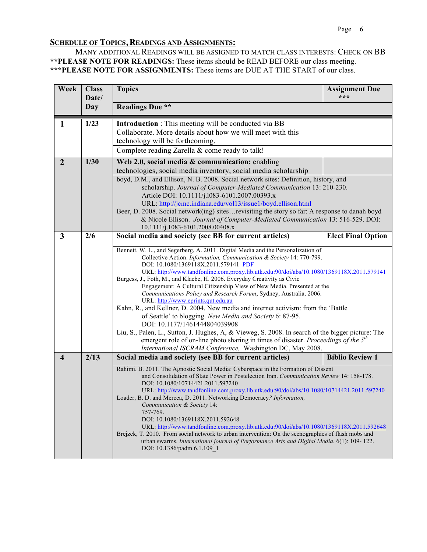## **SCHEDULE OF TOPICS, READINGS AND ASSIGNMENTS:**

MANY ADDITIONAL READINGS WILL BE ASSIGNED TO MATCH CLASS INTERESTS: CHECK ON BB **\*\*PLEASE NOTE FOR READINGS:** These items should be READ BEFORE our class meeting. **\*\*\*PLEASE NOTE FOR ASSIGNMENTS:** These items are DUE AT THE START of our class.

| Week                    | <b>Class</b><br>Date/ | <b>Topics</b>                                                                                                                                                                                                                                                                                                                                                                                                                                                                                                                                                                                                                                                                                                                                                                                                                                                                                                                                                                                                                                     | <b>Assignment Due</b><br>*** |
|-------------------------|-----------------------|---------------------------------------------------------------------------------------------------------------------------------------------------------------------------------------------------------------------------------------------------------------------------------------------------------------------------------------------------------------------------------------------------------------------------------------------------------------------------------------------------------------------------------------------------------------------------------------------------------------------------------------------------------------------------------------------------------------------------------------------------------------------------------------------------------------------------------------------------------------------------------------------------------------------------------------------------------------------------------------------------------------------------------------------------|------------------------------|
|                         | Day                   | <b>Readings Due **</b>                                                                                                                                                                                                                                                                                                                                                                                                                                                                                                                                                                                                                                                                                                                                                                                                                                                                                                                                                                                                                            |                              |
| 1                       | 1/23                  | <b>Introduction</b> : This meeting will be conducted via BB<br>Collaborate. More details about how we will meet with this<br>technology will be forthcoming.<br>Complete reading Zarella & come ready to talk!                                                                                                                                                                                                                                                                                                                                                                                                                                                                                                                                                                                                                                                                                                                                                                                                                                    |                              |
| $\overline{2}$          | 1/30                  | Web 2.0, social media & communication: enabling<br>technologies, social media inventory, social media scholarship<br>boyd, D.M., and Ellison, N. B. 2008. Social network sites: Definition, history, and<br>scholarship. Journal of Computer-Mediated Communication 13: 210-230.<br>Article DOI: 10.1111/j.1083-6101.2007.00393.x<br>URL: http://jcmc.indiana.edu/vol13/issue1/boyd.ellison.html<br>Beer, D. 2008. Social network(ing) sites revisiting the story so far: A response to danah boyd<br>& Nicole Ellison. Journal of Computer-Mediated Communication 13: 516-529. DOI:<br>10.1111/j.1083-6101.2008.00408.x                                                                                                                                                                                                                                                                                                                                                                                                                          |                              |
| $\overline{\mathbf{3}}$ | 2/6                   | Social media and society (see BB for current articles)<br><b>Elect Final Option</b><br>Bennett, W. L., and Segerberg, A. 2011. Digital Media and the Personalization of<br>Collective Action. Information, Communication & Society 14: 770-799.<br>DOI: 10.1080/1369118X.2011.579141 PDF<br>URL: http://www.tandfonline.com.proxy.lib.utk.edu:90/doi/abs/10.1080/1369118X.2011.579141<br>Burgess, J., Foth, M., and Klaebe, H. 2006. Everyday Creativity as Civic<br>Engagement: A Cultural Citizenship View of New Media. Presented at the<br>Communications Policy and Research Forum, Sydney, Australia, 2006.<br>URL: http://www.eprints.qut.edu.au<br>Kahn, R., and Kellner, D. 2004. New media and internet activism: from the 'Battle<br>of Seattle' to blogging. New Media and Society 6: 87-95.<br>DOI: 10.1177/1461444804039908<br>Liu, S., Palen, L., Sutton, J. Hughes, A, & Vieweg, S. 2008. In search of the bigger picture: The<br>emergent role of on-line photo sharing in times of disaster. Proceedings of the 5 <sup>th</sup> |                              |
| $\overline{\mathbf{4}}$ | 2/13                  | International ISCRAM Conference, Washington DC, May 2008.<br>Social media and society (see BB for current articles)                                                                                                                                                                                                                                                                                                                                                                                                                                                                                                                                                                                                                                                                                                                                                                                                                                                                                                                               | <b>Biblio Review 1</b>       |
|                         |                       | Rahimi, B. 2011. The Agnostic Social Media: Cyberspace in the Formation of Dissent<br>and Consolidation of State Power in Postelection Iran. Communication Review 14: 158-178.<br>DOI: 10.1080/10714421.2011.597240<br>URL: http://www.tandfonline.com.proxy.lib.utk.edu:90/doi/abs/10.1080/10714421.2011.597240<br>Loader, B. D. and Mercea, D. 2011. Networking Democracy? Information,<br>Communication & Society 14:<br>757-769.<br>DOI: 10.1080/1369118X.2011.592648<br>URL: http://www.tandfonline.com.proxy.lib.utk.edu:90/doi/abs/10.1080/1369118X.2011.592648<br>Brejzek, T. 2010. From social network to urban intervention: On the scenographies of flash mobs and<br>urban swarms. International journal of Performance Arts and Digital Media. 6(1): 109-122.<br>DOI: 10.1386/padm.6.1.109 1                                                                                                                                                                                                                                         |                              |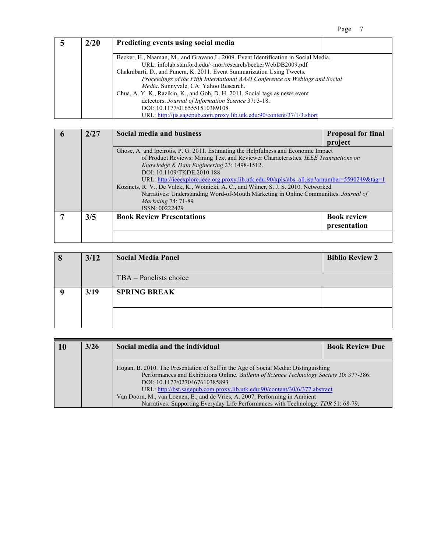| <b>2/20</b> | Predicting events using social media                                                |  |
|-------------|-------------------------------------------------------------------------------------|--|
|             |                                                                                     |  |
|             | Becker, H., Naaman, M., and Gravano, L. 2009. Event Identification in Social Media. |  |
|             | URL: infolab.stanford.edu/~mor/research/beckerWebDB2009.pdf                         |  |
|             | Chakrabarti, D., and Punera, K. 2011. Event Summarization Using Tweets.             |  |
|             | Proceedings of the Fifth International AAAI Conference on Weblogs and Social        |  |
|             | Media. Sunnyvale, CA: Yahoo Research.                                               |  |
|             | Chua, A. Y. K., Razikin, K., and Goh, D. H. 2011. Social tags as news event         |  |
|             | detectors. Journal of Information Science 37: 3-18.                                 |  |
|             | DOI: 10.1177/0165551510389108                                                       |  |
|             | URL: http://jis.sagepub.com.proxy.lib.utk.edu:90/content/37/1/3.short               |  |

| 2/27 | Social media and business                                                                    | <b>Proposal for final</b> |  |
|------|----------------------------------------------------------------------------------------------|---------------------------|--|
|      |                                                                                              | project                   |  |
|      | Ghose, A. and Ipeirotis, P. G. 2011. Estimating the Helpfulness and Economic Impact          |                           |  |
|      | of Product Reviews: Mining Text and Reviewer Characteristics. IEEE Transactions on           |                           |  |
|      | Knowledge & Data Engineering 23: 1498-1512.                                                  |                           |  |
|      | DOI: 10.1109/TKDE.2010.188                                                                   |                           |  |
|      | URL: http://ieeexplore.ieee.org.proxy.lib.utk.edu:90/xpls/abs_all.jsp?arnumber=5590249&tag=1 |                           |  |
|      | Kozinets, R. V., De Valck, K., Woinicki, A. C., and Wilner, S. J. S. 2010. Networked         |                           |  |
|      | Narratives: Understanding Word-of-Mouth Marketing in Online Communities. Journal of          |                           |  |
|      | <i>Marketing</i> 74: 71-89                                                                   |                           |  |
|      | ISSN: 00222429                                                                               |                           |  |
| 3/5  | <b>Book Review Presentations</b>                                                             | <b>Book review</b>        |  |
|      |                                                                                              | presentation              |  |
|      |                                                                                              |                           |  |

| 3/12 | <b>Social Media Panel</b> | <b>Biblio Review 2</b> |
|------|---------------------------|------------------------|
|      | TBA – Panelists choice    |                        |
| 3/19 | <b>SPRING BREAK</b>       |                        |
|      |                           |                        |

| 10 | 3/26 | Social media and the individual                                                                                                                                                                                                                                                                | <b>Book Review Due</b> |
|----|------|------------------------------------------------------------------------------------------------------------------------------------------------------------------------------------------------------------------------------------------------------------------------------------------------|------------------------|
|    |      | Hogan, B. 2010. The Presentation of Self in the Age of Social Media: Distinguishing<br>Performances and Exhibitions Online. Bulletin of Science Technology Society 30: 377-386.<br>DOI: 10.1177/0270467610385893<br>URL: http://bst.sagepub.com.proxy.lib.utk.edu:90/content/30/6/377.abstract |                        |
|    |      | Van Doorn, M., van Loenen, E., and de Vries, A. 2007. Performing in Ambient<br>Narratives: Supporting Everyday Life Performances with Technology. TDR 51: 68-79.                                                                                                                               |                        |